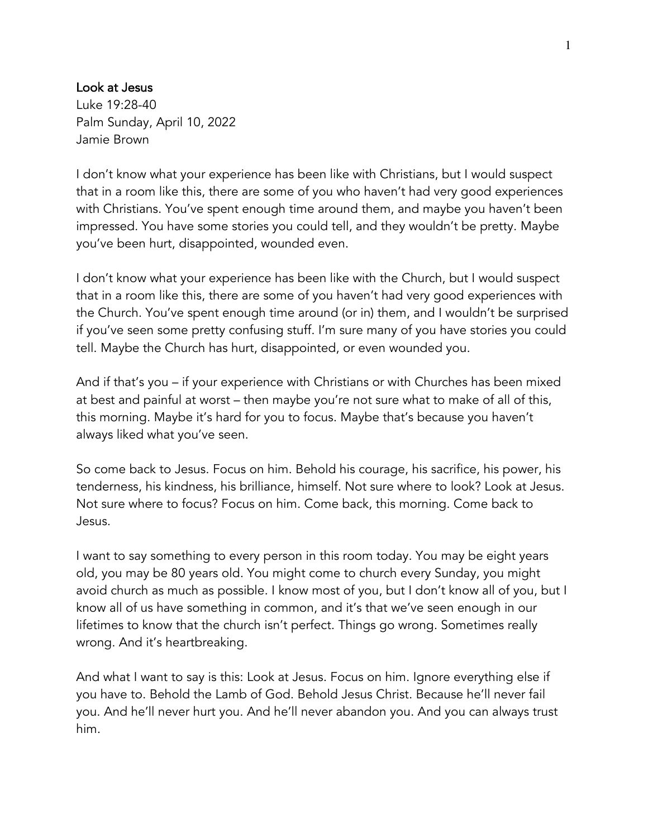## Look at Jesus

Luke 19:28-40 Palm Sunday, April 10, 2022 Jamie Brown

I don't know what your experience has been like with Christians, but I would suspect that in a room like this, there are some of you who haven't had very good experiences with Christians. You've spent enough time around them, and maybe you haven't been impressed. You have some stories you could tell, and they wouldn't be pretty. Maybe you've been hurt, disappointed, wounded even.

I don't know what your experience has been like with the Church, but I would suspect that in a room like this, there are some of you haven't had very good experiences with the Church. You've spent enough time around (or in) them, and I wouldn't be surprised if you've seen some pretty confusing stuff. I'm sure many of you have stories you could tell. Maybe the Church has hurt, disappointed, or even wounded you.

And if that's you – if your experience with Christians or with Churches has been mixed at best and painful at worst – then maybe you're not sure what to make of all of this, this morning. Maybe it's hard for you to focus. Maybe that's because you haven't always liked what you've seen.

So come back to Jesus. Focus on him. Behold his courage, his sacrifice, his power, his tenderness, his kindness, his brilliance, himself. Not sure where to look? Look at Jesus. Not sure where to focus? Focus on him. Come back, this morning. Come back to Jesus.

I want to say something to every person in this room today. You may be eight years old, you may be 80 years old. You might come to church every Sunday, you might avoid church as much as possible. I know most of you, but I don't know all of you, but I know all of us have something in common, and it's that we've seen enough in our lifetimes to know that the church isn't perfect. Things go wrong. Sometimes really wrong. And it's heartbreaking.

And what I want to say is this: Look at Jesus. Focus on him. Ignore everything else if you have to. Behold the Lamb of God. Behold Jesus Christ. Because he'll never fail you. And he'll never hurt you. And he'll never abandon you. And you can always trust him.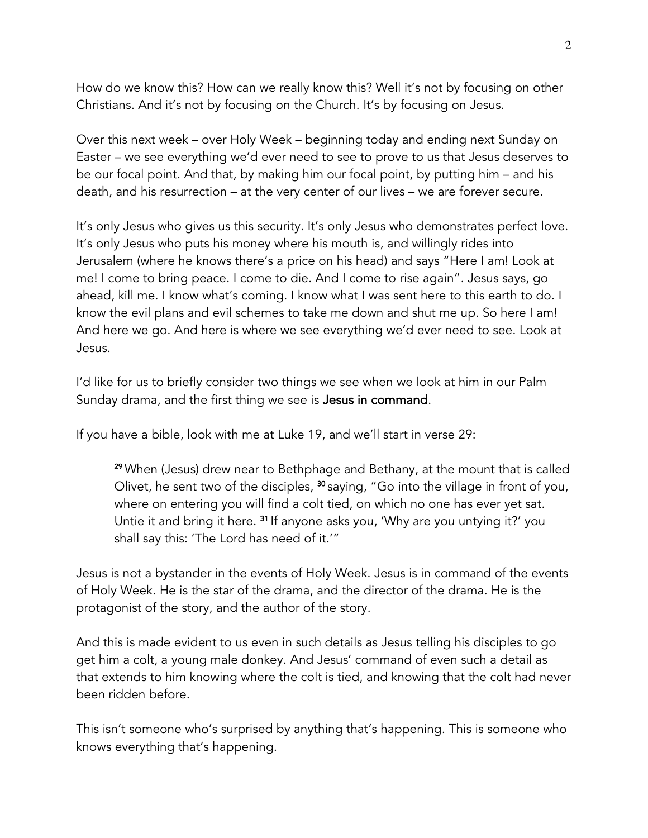How do we know this? How can we really know this? Well it's not by focusing on other Christians. And it's not by focusing on the Church. It's by focusing on Jesus.

Over this next week – over Holy Week – beginning today and ending next Sunday on Easter – we see everything we'd ever need to see to prove to us that Jesus deserves to be our focal point. And that, by making him our focal point, by putting him – and his death, and his resurrection – at the very center of our lives – we are forever secure.

It's only Jesus who gives us this security. It's only Jesus who demonstrates perfect love. It's only Jesus who puts his money where his mouth is, and willingly rides into Jerusalem (where he knows there's a price on his head) and says "Here I am! Look at me! I come to bring peace. I come to die. And I come to rise again". Jesus says, go ahead, kill me. I know what's coming. I know what I was sent here to this earth to do. I know the evil plans and evil schemes to take me down and shut me up. So here I am! And here we go. And here is where we see everything we'd ever need to see. Look at Jesus.

I'd like for us to briefly consider two things we see when we look at him in our Palm Sunday drama, and the first thing we see is Jesus in command.

If you have a bible, look with me at Luke 19, and we'll start in verse 29:

<sup>29</sup> When (Jesus) drew near to Bethphage and Bethany, at the mount that is called Olivet, he sent two of the disciples, <sup>30</sup> saying, "Go into the village in front of you, where on entering you will find a colt tied, on which no one has ever yet sat. Untie it and bring it here. <sup>31</sup> If anyone asks you, 'Why are you untying it?' you shall say this: 'The Lord has need of it.'"

Jesus is not a bystander in the events of Holy Week. Jesus is in command of the events of Holy Week. He is the star of the drama, and the director of the drama. He is the protagonist of the story, and the author of the story.

And this is made evident to us even in such details as Jesus telling his disciples to go get him a colt, a young male donkey. And Jesus' command of even such a detail as that extends to him knowing where the colt is tied, and knowing that the colt had never been ridden before.

This isn't someone who's surprised by anything that's happening. This is someone who knows everything that's happening.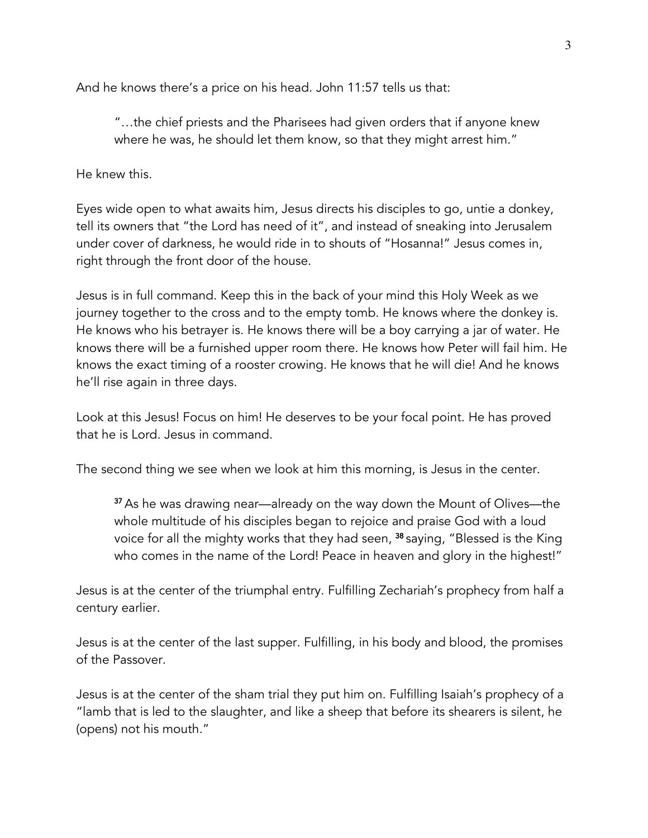And he knows there's a price on his head. John 11:57 tells us that:

"…the chief priests and the Pharisees had given orders that if anyone knew where he was, he should let them know, so that they might arrest him."

He knew this.

Eyes wide open to what awaits him, Jesus directs his disciples to go, untie a donkey, tell its owners that "the Lord has need of it", and instead of sneaking into Jerusalem under cover of darkness, he would ride in to shouts of "Hosanna!" Jesus comes in, right through the front door of the house.

Jesus is in full command. Keep this in the back of your mind this Holy Week as we journey together to the cross and to the empty tomb. He knows where the donkey is. He knows who his betrayer is. He knows there will be a boy carrying a jar of water. He knows there will be a furnished upper room there. He knows how Peter will fail him. He knows the exact timing of a rooster crowing. He knows that he will die! And he knows he'll rise again in three days.

Look at this Jesus! Focus on him! He deserves to be your focal point. He has proved that he is Lord. Jesus in command.

The second thing we see when we look at him this morning, is Jesus in the center.

<sup>37</sup> As he was drawing near—already on the way down the Mount of Olives—the whole multitude of his disciples began to rejoice and praise God with a loud voice for all the mighty works that they had seen, <sup>38</sup> saying, "Blessed is the King who comes in the name of the Lord! Peace in heaven and glory in the highest!"

Jesus is at the center of the triumphal entry. Fulfilling Zechariah's prophecy from half a century earlier.

Jesus is at the center of the last supper. Fulfilling, in his body and blood, the promises of the Passover.

Jesus is at the center of the sham trial they put him on. Fulfilling Isaiah's prophecy of a "lamb that is led to the slaughter, and like a sheep that before its shearers is silent, he (opens) not his mouth."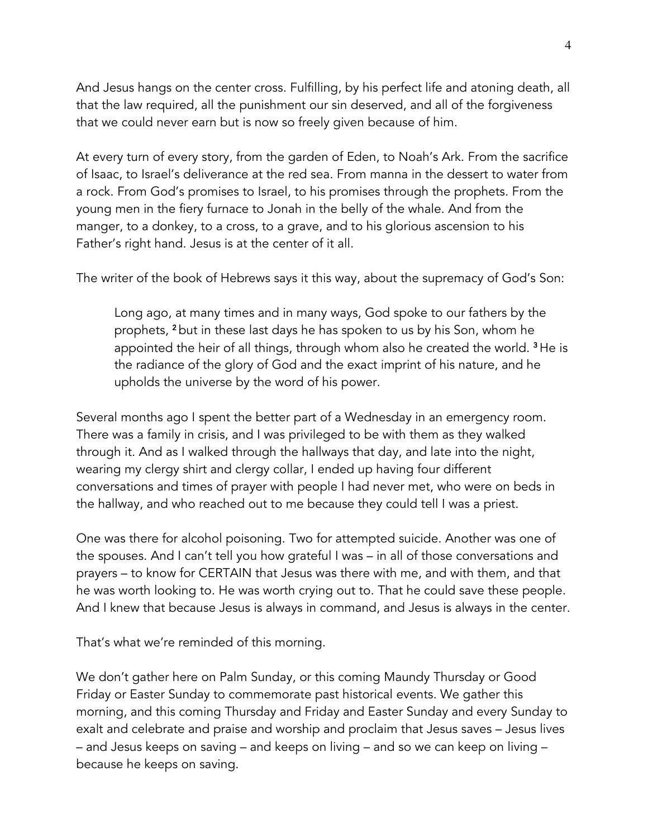And Jesus hangs on the center cross. Fulfilling, by his perfect life and atoning death, all that the law required, all the punishment our sin deserved, and all of the forgiveness that we could never earn but is now so freely given because of him.

At every turn of every story, from the garden of Eden, to Noah's Ark. From the sacrifice of Isaac, to Israel's deliverance at the red sea. From manna in the dessert to water from a rock. From God's promises to Israel, to his promises through the prophets. From the young men in the fiery furnace to Jonah in the belly of the whale. And from the manger, to a donkey, to a cross, to a grave, and to his glorious ascension to his Father's right hand. Jesus is at the center of it all.

The writer of the book of Hebrews says it this way, about the supremacy of God's Son:

Long ago, at many times and in many ways, God spoke to our fathers by the prophets, <sup>2</sup> but in these last days he has spoken to us by his Son, whom he appointed the heir of all things, through whom also he created the world. <sup>3</sup> He is the radiance of the glory of God and the exact imprint of his nature, and he upholds the universe by the word of his power.

Several months ago I spent the better part of a Wednesday in an emergency room. There was a family in crisis, and I was privileged to be with them as they walked through it. And as I walked through the hallways that day, and late into the night, wearing my clergy shirt and clergy collar, I ended up having four different conversations and times of prayer with people I had never met, who were on beds in the hallway, and who reached out to me because they could tell I was a priest.

One was there for alcohol poisoning. Two for attempted suicide. Another was one of the spouses. And I can't tell you how grateful I was – in all of those conversations and prayers – to know for CERTAIN that Jesus was there with me, and with them, and that he was worth looking to. He was worth crying out to. That he could save these people. And I knew that because Jesus is always in command, and Jesus is always in the center.

That's what we're reminded of this morning.

We don't gather here on Palm Sunday, or this coming Maundy Thursday or Good Friday or Easter Sunday to commemorate past historical events. We gather this morning, and this coming Thursday and Friday and Easter Sunday and every Sunday to exalt and celebrate and praise and worship and proclaim that Jesus saves – Jesus lives – and Jesus keeps on saving – and keeps on living – and so we can keep on living – because he keeps on saving.